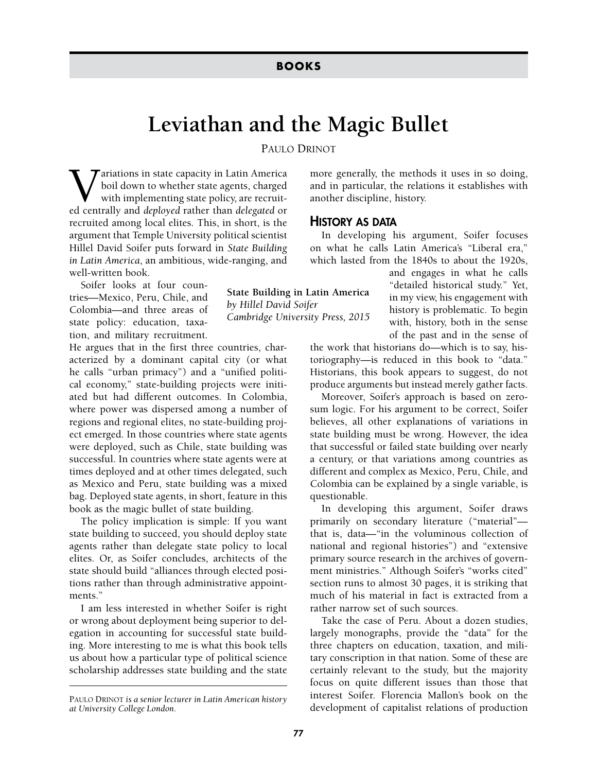## **Leviathan and the Magic Bullet**

PAULO DRINOT

**State Building in Latin America**

*Cambridge University Press, 2015*

*by Hillel David Soifer*

 $\boldsymbol{T}$ ariations in state capacity in Latin America boil down to whether state agents, charged with implementing state policy, are recruited centrally and *deployed* rather than *delegated* or recruited among local elites. This, in short, is the argument that Temple University political scientist Hillel David Soifer puts forward in *State Building in Latin America*, an ambitious, wide-ranging, and well-written book.

Soifer looks at four countries—Mexico, Peru, Chile, and Colombia—and three areas of state policy: education, taxation, and military recruitment.

He argues that in the first three countries, characterized by a dominant capital city (or what he calls "urban primacy") and a "unified political economy," state-building projects were initiated but had different outcomes. In Colombia, where power was dispersed among a number of regions and regional elites, no state-building project emerged. In those countries where state agents were deployed, such as Chile, state building was successful. In countries where state agents were at times deployed and at other times delegated, such as Mexico and Peru, state building was a mixed bag. Deployed state agents, in short, feature in this book as the magic bullet of state building.

The policy implication is simple: If you want state building to succeed, you should deploy state agents rather than delegate state policy to local elites. Or, as Soifer concludes, architects of the state should build "alliances through elected positions rather than through administrative appointments<sup>"</sup>

I am less interested in whether Soifer is right or wrong about deployment being superior to delegation in accounting for successful state building. More interesting to me is what this book tells us about how a particular type of political science scholarship addresses state building and the state more generally, the methods it uses in so doing, and in particular, the relations it establishes with another discipline, history.

## HISTORY AS DATA

In developing his argument, Soifer focuses on what he calls Latin America's "Liberal era," which lasted from the 1840s to about the 1920s,

> and engages in what he calls "detailed historical study." Yet, in my view, his engagement with history is problematic. To begin with, history, both in the sense of the past and in the sense of

the work that historians do—which is to say, historiography—is reduced in this book to "data." Historians, this book appears to suggest, do not produce arguments but instead merely gather facts.

Moreover, Soifer's approach is based on zerosum logic. For his argument to be correct, Soifer believes, all other explanations of variations in state building must be wrong. However, the idea that successful or failed state building over nearly a century, or that variations among countries as different and complex as Mexico, Peru, Chile, and Colombia can be explained by a single variable, is questionable.

In developing this argument, Soifer draws primarily on secondary literature ("material" that is, data—"in the voluminous collection of national and regional histories") and "extensive primary source research in the archives of government ministries." Although Soifer's "works cited" section runs to almost 30 pages, it is striking that much of his material in fact is extracted from a rather narrow set of such sources.

Take the case of Peru. About a dozen studies, largely monographs, provide the "data" for the three chapters on education, taxation, and military conscription in that nation. Some of these are certainly relevant to the study, but the majority focus on quite different issues than those that interest Soifer. Florencia Mallon's book on the development of capitalist relations of production

PAULO DRINOT *is a senior lecturer in Latin American history at University College London.*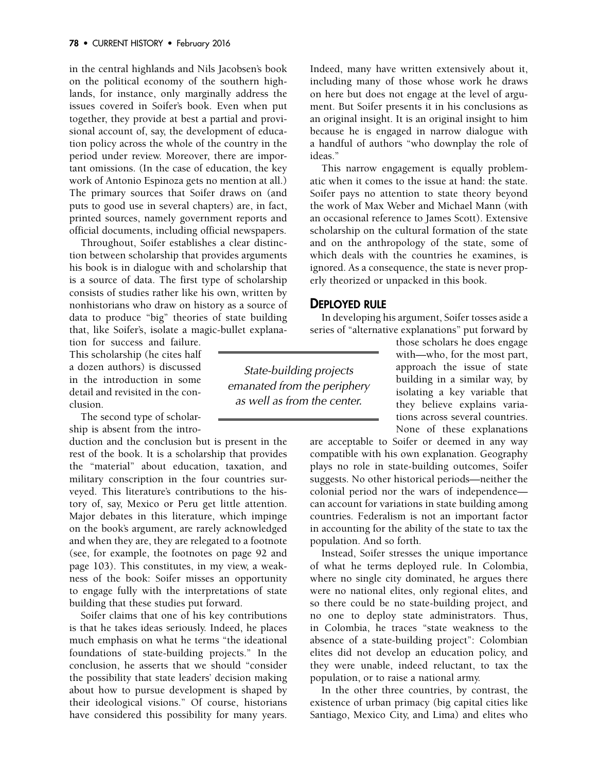in the central highlands and Nils Jacobsen's book on the political economy of the southern highlands, for instance, only marginally address the issues covered in Soifer's book. Even when put together, they provide at best a partial and provisional account of, say, the development of education policy across the whole of the country in the period under review. Moreover, there are important omissions. (In the case of education, the key work of Antonio Espinoza gets no mention at all.) The primary sources that Soifer draws on (and puts to good use in several chapters) are, in fact, printed sources, namely government reports and official documents, including official newspapers.

Throughout, Soifer establishes a clear distinction between scholarship that provides arguments his book is in dialogue with and scholarship that is a source of data. The first type of scholarship consists of studies rather like his own, written by nonhistorians who draw on history as a source of data to produce "big" theories of state building that, like Soifer's, isolate a magic-bullet explana-

tion for success and failure. This scholarship (he cites half a dozen authors) is discussed in the introduction in some detail and revisited in the conclusion.

The second type of scholarship is absent from the intro-

duction and the conclusion but is present in the rest of the book. It is a scholarship that provides the "material" about education, taxation, and military conscription in the four countries surveyed. This literature's contributions to the history of, say, Mexico or Peru get little attention. Major debates in this literature, which impinge on the book's argument, are rarely acknowledged and when they are, they are relegated to a footnote (see, for example, the footnotes on page 92 and page 103). This constitutes, in my view, a weakness of the book: Soifer misses an opportunity to engage fully with the interpretations of state building that these studies put forward.

Soifer claims that one of his key contributions is that he takes ideas seriously. Indeed, he places much emphasis on what he terms "the ideational foundations of state-building projects." In the conclusion, he asserts that we should "consider the possibility that state leaders' decision making about how to pursue development is shaped by their ideological visions." Of course, historians have considered this possibility for many years.

Indeed, many have written extensively about it, including many of those whose work he draws on here but does not engage at the level of argument. But Soifer presents it in his conclusions as an original insight. It is an original insight to him because he is engaged in narrow dialogue with a handful of authors "who downplay the role of ideas."

This narrow engagement is equally problematic when it comes to the issue at hand: the state. Soifer pays no attention to state theory beyond the work of Max Weber and Michael Mann (with an occasional reference to James Scott). Extensive scholarship on the cultural formation of the state and on the anthropology of the state, some of which deals with the countries he examines, is ignored. As a consequence, the state is never properly theorized or unpacked in this book.

## DEPLOYED RULE

In developing his argument, Soifer tosses aside a series of "alternative explanations" put forward by

State-building projects emanated from the periphery as well as from the center.

those scholars he does engage with—who, for the most part, approach the issue of state building in a similar way, by isolating a key variable that they believe explains variations across several countries. None of these explanations

are acceptable to Soifer or deemed in any way compatible with his own explanation. Geography plays no role in state-building outcomes, Soifer suggests. No other historical periods—neither the colonial period nor the wars of independence can account for variations in state building among countries. Federalism is not an important factor in accounting for the ability of the state to tax the population. And so forth.

Instead, Soifer stresses the unique importance of what he terms deployed rule. In Colombia, where no single city dominated, he argues there were no national elites, only regional elites, and so there could be no state-building project, and no one to deploy state administrators. Thus, in Colombia, he traces "state weakness to the absence of a state-building project": Colombian elites did not develop an education policy, and they were unable, indeed reluctant, to tax the population, or to raise a national army.

In the other three countries, by contrast, the existence of urban primacy (big capital cities like Santiago, Mexico City, and Lima) and elites who